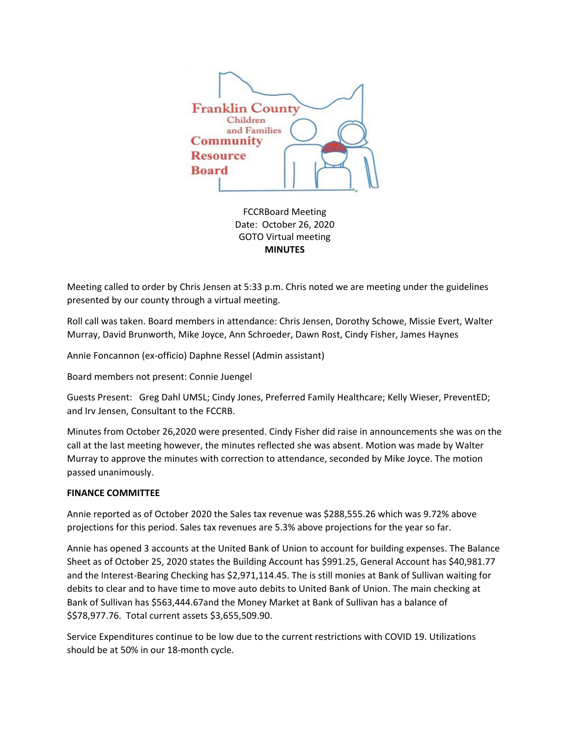

FCCRBoard Meeting Date: October 26, 2020 GOTO Virtual meeting **MINUTES**

Meeting called to order by Chris Jensen at 5:33 p.m. Chris noted we are meeting under the guidelines presented by our county through a virtual meeting.

Roll call was taken. Board members in attendance: Chris Jensen, Dorothy Schowe, Missie Evert, Walter Murray, David Brunworth, Mike Joyce, Ann Schroeder, Dawn Rost, Cindy Fisher, James Haynes

Annie Foncannon (ex-officio) Daphne Ressel (Admin assistant)

Board members not present: Connie Juengel

Guests Present: Greg Dahl UMSL; Cindy Jones, Preferred Family Healthcare; Kelly Wieser, PreventED; and Irv Jensen, Consultant to the FCCRB.

Minutes from October 26,2020 were presented. Cindy Fisher did raise in announcements she was on the call at the last meeting however, the minutes reflected she was absent. Motion was made by Walter Murray to approve the minutes with correction to attendance, seconded by Mike Joyce. The motion passed unanimously.

# **FINANCE COMMITTEE**

Annie reported as of October 2020 the Sales tax revenue was \$288,555.26 which was 9.72% above projections for this period. Sales tax revenues are 5.3% above projections for the year so far.

Annie has opened 3 accounts at the United Bank of Union to account for building expenses. The Balance Sheet as of October 25, 2020 states the Building Account has \$991.25, General Account has \$40,981.77 and the Interest-Bearing Checking has \$2,971,114.45. The is still monies at Bank of Sullivan waiting for debits to clear and to have time to move auto debits to United Bank of Union. The main checking at Bank of Sullivan has \$563,444.67and the Money Market at Bank of Sullivan has a balance of \$\$78,977.76. Total current assets \$3,655,509.90.

Service Expenditures continue to be low due to the current restrictions with COVID 19. Utilizations should be at 50% in our 18-month cycle.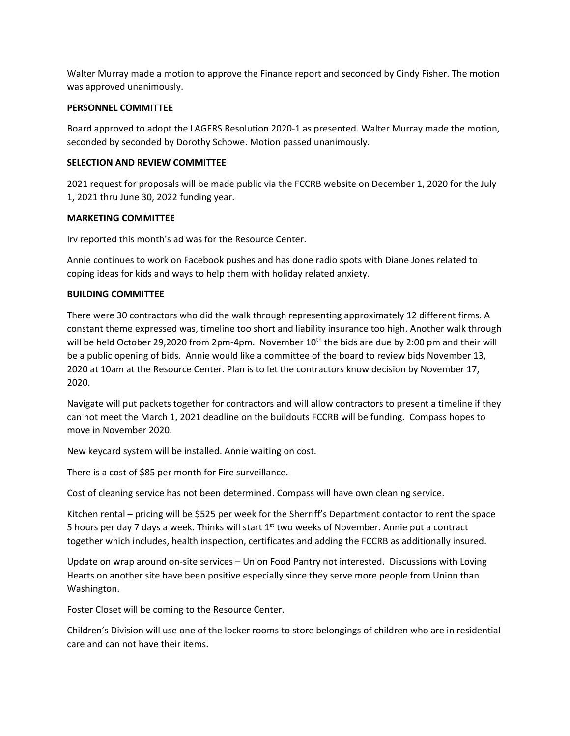Walter Murray made a motion to approve the Finance report and seconded by Cindy Fisher. The motion was approved unanimously.

## **PERSONNEL COMMITTEE**

Board approved to adopt the LAGERS Resolution 2020-1 as presented. Walter Murray made the motion, seconded by seconded by Dorothy Schowe. Motion passed unanimously.

# **SELECTION AND REVIEW COMMITTEE**

2021 request for proposals will be made public via the FCCRB website on December 1, 2020 for the July 1, 2021 thru June 30, 2022 funding year.

## **MARKETING COMMITTEE**

Irv reported this month's ad was for the Resource Center.

Annie continues to work on Facebook pushes and has done radio spots with Diane Jones related to coping ideas for kids and ways to help them with holiday related anxiety.

## **BUILDING COMMITTEE**

There were 30 contractors who did the walk through representing approximately 12 different firms. A constant theme expressed was, timeline too short and liability insurance too high. Another walk through will be held October 29,2020 from 2pm-4pm. November 10<sup>th</sup> the bids are due by 2:00 pm and their will be a public opening of bids. Annie would like a committee of the board to review bids November 13, 2020 at 10am at the Resource Center. Plan is to let the contractors know decision by November 17, 2020.

Navigate will put packets together for contractors and will allow contractors to present a timeline if they can not meet the March 1, 2021 deadline on the buildouts FCCRB will be funding. Compass hopes to move in November 2020.

New keycard system will be installed. Annie waiting on cost.

There is a cost of \$85 per month for Fire surveillance.

Cost of cleaning service has not been determined. Compass will have own cleaning service.

Kitchen rental – pricing will be \$525 per week for the Sherriff's Department contactor to rent the space 5 hours per day 7 days a week. Thinks will start 1<sup>st</sup> two weeks of November. Annie put a contract together which includes, health inspection, certificates and adding the FCCRB as additionally insured.

Update on wrap around on-site services – Union Food Pantry not interested. Discussions with Loving Hearts on another site have been positive especially since they serve more people from Union than Washington.

Foster Closet will be coming to the Resource Center.

Children's Division will use one of the locker rooms to store belongings of children who are in residential care and can not have their items.